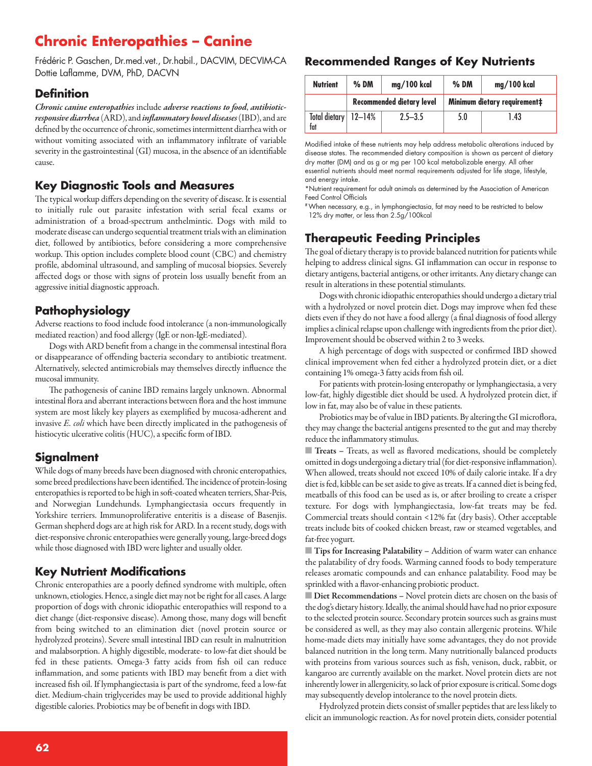# **Chronic Enteropathies – Canine**

Frédéric P. Gaschen, Dr.med.vet., Dr.habil., DACVIM, DECVIM-CA Dottie Laflamme, DVM, PhD, DACVN

#### **Definition**

*Chronic canine enteropathies* include *adverse reactions to food*, *antibioticresponsive diarrhea* (ARD), and *inflammatory bowel diseases* (IBD), and are defined by the occurrence of chronic, sometimes intermittent diarrhea with or without vomiting associated with an inflammatory infiltrate of variable severity in the gastrointestinal (GI) mucosa, in the absence of an identifiable cause.

### **Key Diagnostic Tools and Measures**

The typical workup differs depending on the severity of disease. It is essential to initially rule out parasite infestation with serial fecal exams or administration of a broad-spectrum anthelmintic. Dogs with mild to moderate disease can undergo sequential treatment trials with an elimination diet, followed by antibiotics, before considering a more comprehensive workup. This option includes complete blood count (CBC) and chemistry profile, abdominal ultrasound, and sampling of mucosal biopsies. Severely affected dogs or those with signs of protein loss usually benefit from an aggressive initial diagnostic approach.

## **Pathophysiology**

Adverse reactions to food include food intolerance (a non-immunologically mediated reaction) and food allergy (IgE or non-IgE-mediated).

Dogs with ARD benefit from a change in the commensal intestinal flora or disappearance of offending bacteria secondary to antibiotic treatment. Alternatively, selected antimicrobials may themselves directly influence the mucosal immunity.

The pathogenesis of canine IBD remains largely unknown. Abnormal intestinal flora and aberrant interactions between flora and the host immune system are most likely key players as exemplified by mucosa-adherent and invasive *E. coli* which have been directly implicated in the pathogenesis of histiocytic ulcerative colitis (HUC), a specific form of IBD.

### **Signalment**

While dogs of many breeds have been diagnosed with chronic enteropathies, some breed predilections have been identified. The incidence of protein-losing enteropathies is reported to be high in soft-coated wheaten terriers, Shar-Peis, and Norwegian Lundehunds. Lymphangiectasia occurs frequently in Yorkshire terriers. Immunoproliferative enteritis is a disease of Basenjis. German shepherd dogs are at high risk for ARD. In a recent study, dogs with diet-responsive chronic enteropathies were generally young, large-breed dogs while those diagnosed with IBD were lighter and usually older.

### **Key Nutrient Modifications**

Chronic enteropathies are a poorly defined syndrome with multiple, often unknown, etiologies. Hence, a single diet may not be right for all cases. A large proportion of dogs with chronic idiopathic enteropathies will respond to a diet change (diet-responsive disease). Among those, many dogs will benefit from being switched to an elimination diet (novel protein source or hydrolyzed proteins). Severe small intestinal IBD can result in malnutrition and malabsorption. A highly digestible, moderate- to low-fat diet should be fed in these patients. Omega-3 fatty acids from fish oil can reduce inflammation, and some patients with IBD may benefit from a diet with increased fish oil. If lymphangiectasia is part of the syndrome, feed a low-fat diet. Medium-chain triglycerides may be used to provide additional highly digestible calories. Probiotics may be of benefit in dogs with IBD.

#### **Recommended Ranges of Key Nutrients**

| <b>Nutrient</b>             | $%$ DM                           | mg/100 kcal | $%$ DM                       | mg/100 kcal |
|-----------------------------|----------------------------------|-------------|------------------------------|-------------|
|                             | <b>Recommended dietary level</b> |             | Minimum dietary requirement‡ |             |
| Total dietary 12-14%<br>fat |                                  | $2.5 - 3.5$ | 5.0                          | 1.43        |

Modified intake of these nutrients may help address metabolic alterations induced by disease states. The recommended dietary composition is shown as percent of dietary dry matter (DM) and as g or mg per 100 kcal metabolizable energy. All other essential nutrients should meet normal requirements adjusted for life stage, lifestyle, and energy intake.

\*Nutrient requirement for adult animals as determined by the Association of American Feed Control Officials

#When necessary, e.g., in lymphangiectasia, fat may need to be restricted to below 12% dry matter, or less than 2.5g/100kcal

# **Therapeutic Feeding Principles**

The goal of dietary therapy is to provide balanced nutrition for patients while helping to address clinical signs. GI inflammation can occur in response to dietary antigens, bacterial antigens, or other irritants. Any dietary change can result in alterations in these potential stimulants.

Dogs with chronic idiopathic enteropathies should undergo a dietary trial with a hydrolyzed or novel protein diet. Dogs may improve when fed these diets even if they do not have a food allergy (a final diagnosis of food allergy implies a clinical relapse upon challenge with ingredients from the prior diet). Improvement should be observed within 2 to 3 weeks.

A high percentage of dogs with suspected or confirmed IBD showed clinical improvement when fed either a hydrolyzed protein diet, or a diet containing 1% omega-3 fatty acids from fish oil.

For patients with protein-losing enteropathy or lymphangiectasia, a very low-fat, highly digestible diet should be used. A hydrolyzed protein diet, if low in fat, may also be of value in these patients.

Probiotics may be of value in IBD patients. By altering the GI microflora, they may change the bacterial antigens presented to the gut and may thereby reduce the inflammatory stimulus.

■ **Treats –** Treats, as well as flavored medications, should be completely omitted in dogs undergoing a dietary trial (for diet-responsive inflammation). When allowed, treats should not exceed 10% of daily calorie intake. If a dry diet is fed, kibble can be set aside to give as treats. If a canned diet is being fed, meatballs of this food can be used as is, or after broiling to create a crisper texture. For dogs with lymphangiectasia, low-fat treats may be fed. Commercial treats should contain <12% fat (dry basis). Other acceptable treats include bits of cooked chicken breast, raw or steamed vegetables, and fat-free yogurt.

■ **Tips for Increasing Palatability –** Addition of warm water can enhance the palatability of dry foods. Warming canned foods to body temperature releases aromatic compounds and can enhance palatability. Food may be sprinkled with a flavor-enhancing probiotic product.

**Diet Recommendations -** Novel protein diets are chosen on the basis of the dog's dietary history. Ideally, the animal should have had no prior exposure to the selected protein source. Secondary protein sources such as grains must be considered as well, as they may also contain allergenic proteins. While home-made diets may initially have some advantages, they do not provide balanced nutrition in the long term. Many nutritionally balanced products with proteins from various sources such as fish, venison, duck, rabbit, or kangaroo are currently available on the market. Novel protein diets are not inherently lower in allergenicity, so lack of prior exposure is critical. Some dogs may subsequently develop intolerance to the novel protein diets.

Hydrolyzed protein diets consist of smaller peptides that are less likely to elicit an immunologic reaction. As for novel protein diets, consider potential